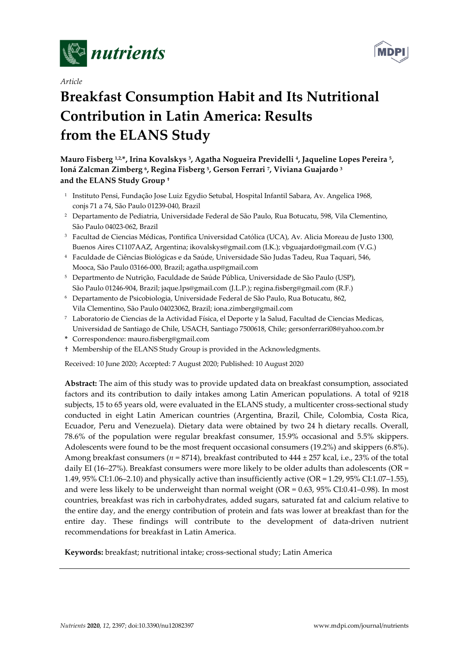

*Article*



# **Breakfast Consumption Habit and Its Nutritional Contribution in Latin America: Results from the ELANS Study**

**Mauro Fisberg 1,2, \*, Irina Kovalskys 3, Agatha Nogueira Previdelli 4, Jaqueline Lopes Pereira 5, Ioná Zalcman Zimberg 6, Regina Fisberg 5, Gerson Ferrari 7, Viviana Guajardo 3 and the ELANS Study Group †**

- <sup>1</sup> Instituto Pensi, Fundação Jose Luiz Egydio Setubal, Hospital Infantil Sabara, Av. Angelica 1968, conjs 71 a 74, São Paulo 01239-040, Brazil
- <sup>2</sup> Departamento de Pediatria, Universidade Federal de São Paulo, Rua Botucatu, 598, Vila Clementino, São Paulo 04023-062, Brazil
- <sup>3</sup> Facultad de Ciencias Médicas, Pontifica Universidad Católica (UCA), Av. Alicia Moreau de Justo 1300, Buenos Aires C1107AAZ, Argentina; ikovalskys@gmail.com (I.K.); vbguajardo@gmail.com (V.G.)
- <sup>4</sup> Faculdade de Ciências Biológicas e da Saúde, Universidade São Judas Tadeu, Rua Taquari, 546, Mooca, São Paulo 03166-000, Brazil; agatha.usp@gmail.com
- <sup>5</sup> Departmento de Nutrição, Faculdade de Saúde Pública, Universidade de São Paulo (USP), São Paulo 01246-904, Brazil; jaque.lps@gmail.com (J.L.P.); regina.fisberg@gmail.com (R.F.)
- <sup>6</sup> Departamento de Psicobiologia, Universidade Federal de São Paulo, Rua Botucatu, 862, Vila Clementino, São Paulo 04023062, Brazil; iona.zimberg@gmail.com
- <sup>7</sup> Laboratorio de Ciencias de la Actividad Física, el Deporte y la Salud, Facultad de Ciencias Medicas, Universidad de Santiago de Chile, USACH, Santiago 7500618, Chile; gersonferrari08@yahoo.com.br
- **\*** Correspondence: mauro.fisberg@gmail.com
- † Membership of the ELANS Study Group is provided in the Acknowledgments.

Received: 10 June 2020; Accepted: 7 August 2020; Published: 10 August 2020

**Abstract:** The aim of this study was to provide updated data on breakfast consumption, associated factors and its contribution to daily intakes among Latin American populations. A total of 9218 subjects, 15 to 65 years old, were evaluated in the ELANS study, a multicenter cross-sectional study conducted in eight Latin American countries (Argentina, Brazil, Chile, Colombia, Costa Rica, Ecuador, Peru and Venezuela). Dietary data were obtained by two 24 h dietary recalls. Overall, 78.6% of the population were regular breakfast consumer, 15.9% occasional and 5.5% skippers. Adolescents were found to be the most frequent occasional consumers (19.2%) and skippers (6.8%). Among breakfast consumers (*n* = 8714), breakfast contributed to 444 ± 257 kcal, i.e., 23% of the total daily EI (16–27%). Breakfast consumers were more likely to be older adults than adolescents (OR = 1.49, 95% CI:1.06–2.10) and physically active than insufficiently active (OR = 1.29, 95% CI:1.07–1.55), and were less likely to be underweight than normal weight  $(OR = 0.63, 95\% \text{ CI:} 0.41-0.98)$ . In most countries, breakfast was rich in carbohydrates, added sugars, saturated fat and calcium relative to the entire day, and the energy contribution of protein and fats was lower at breakfast than for the entire day. These findings will contribute to the development of data-driven nutrient recommendations for breakfast in Latin America.

**Keywords:** breakfast; nutritional intake; cross-sectional study; Latin America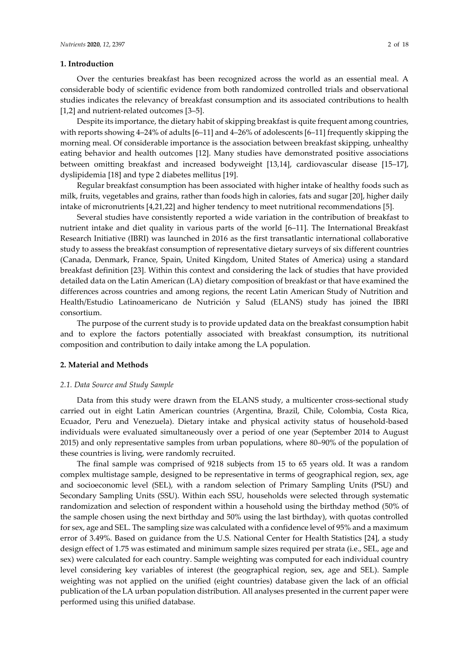## **1. Introduction**

Over the centuries breakfast has been recognized across the world as an essential meal. A considerable body of scientific evidence from both randomized controlled trials and observational studies indicates the relevancy of breakfast consumption and its associated contributions to health [1,2] and nutrient-related outcomes [3-5].

Despite its importance, the dietary habit of skipping breakfast is quite frequent among countries, with reports showing 4–24% of adults [6–11] and 4–26% of adolescents [6–11] frequently skipping the morning meal. Of considerable importance is the association between breakfast skipping, unhealthy eating behavior and health outcomes [12]. Many studies have demonstrated positive associations between omitting breakfast and increased bodyweight [13,14], cardiovascular disease [15–17], dyslipidemia [18] and type 2 diabetes mellitus [19].

Regular breakfast consumption has been associated with higher intake of healthy foods such as milk, fruits, vegetables and grains, rather than foods high in calories, fats and sugar [20], higher daily intake of micronutrients [4,21,22] and higher tendency to meet nutritional recommendations [5].

Several studies have consistently reported a wide variation in the contribution of breakfast to nutrient intake and diet quality in various parts of the world [6–11]. The International Breakfast Research Initiative (IBRI) was launched in 2016 as the first transatlantic international collaborative study to assess the breakfast consumption of representative dietary surveys of six different countries (Canada, Denmark, France, Spain, United Kingdom, United States of America) using a standard breakfast definition [23]. Within this context and considering the lack of studies that have provided detailed data on the Latin American (LA) dietary composition of breakfast or that have examined the differences across countries and among regions, the recent Latin American Study of Nutrition and Health/Estudio Latinoamericano de Nutrición y Salud (ELANS) study has joined the IBRI consortium.

The purpose of the current study is to provide updated data on the breakfast consumption habit and to explore the factors potentially associated with breakfast consumption, its nutritional composition and contribution to daily intake among the LA population.

## **2. Material and Methods**

#### *2.1. Data Source and Study Sample*

Data from this study were drawn from the ELANS study, a multicenter cross-sectional study carried out in eight Latin American countries (Argentina, Brazil, Chile, Colombia, Costa Rica, Ecuador, Peru and Venezuela). Dietary intake and physical activity status of household-based individuals were evaluated simultaneously over a period of one year (September 2014 to August 2015) and only representative samples from urban populations, where 80–90% of the population of these countries is living, were randomly recruited.

The final sample was comprised of 9218 subjects from 15 to 65 years old. It was a random complex multistage sample, designed to be representative in terms of geographical region, sex, age and socioeconomic level (SEL), with a random selection of Primary Sampling Units (PSU) and Secondary Sampling Units (SSU). Within each SSU, households were selected through systematic randomization and selection of respondent within a household using the birthday method (50% of the sample chosen using the next birthday and 50% using the last birthday), with quotas controlled for sex, age and SEL. The sampling size was calculated with a confidence level of 95% and a maximum error of 3.49%. Based on guidance from the U.S. National Center for Health Statistics [24], a study design effect of 1.75 was estimated and minimum sample sizes required per strata (i.e., SEL, age and sex) were calculated for each country. Sample weighting was computed for each individual country level considering key variables of interest (the geographical region, sex, age and SEL). Sample weighting was not applied on the unified (eight countries) database given the lack of an official publication of the LA urban population distribution. All analyses presented in the current paper were performed using this unified database.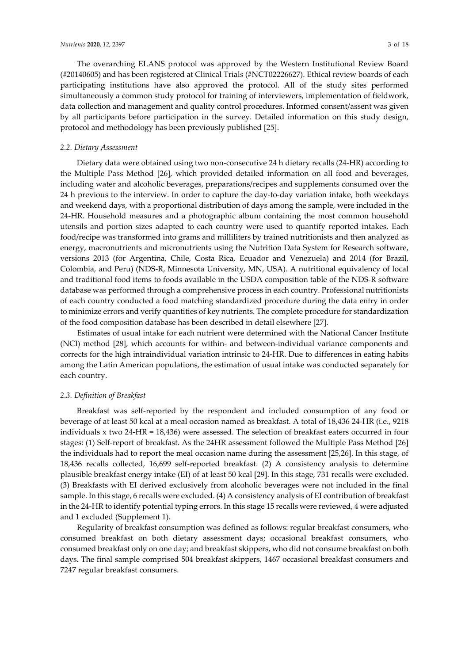The overarching ELANS protocol was approved by the Western Institutional Review Board (#20140605) and has been registered at Clinical Trials (#NCT02226627). Ethical review boards of each participating institutions have also approved the protocol. All of the study sites performed simultaneously a common study protocol for training of interviewers, implementation of fieldwork, data collection and management and quality control procedures. Informed consent/assent was given by all participants before participation in the survey. Detailed information on this study design, protocol and methodology has been previously published [25].

#### *2.2. Dietary Assessment*

Dietary data were obtained using two non-consecutive 24 h dietary recalls (24-HR) according to the Multiple Pass Method [26], which provided detailed information on all food and beverages, including water and alcoholic beverages, preparations/recipes and supplements consumed over the 24 h previous to the interview. In order to capture the day-to-day variation intake, both weekdays and weekend days, with a proportional distribution of days among the sample, were included in the 24-HR. Household measures and a photographic album containing the most common household utensils and portion sizes adapted to each country were used to quantify reported intakes. Each food/recipe was transformed into grams and milliliters by trained nutritionists and then analyzed as energy, macronutrients and micronutrients using the Nutrition Data System for Research software, versions 2013 (for Argentina, Chile, Costa Rica, Ecuador and Venezuela) and 2014 (for Brazil, Colombia, and Peru) (NDS-R, Minnesota University, MN, USA). A nutritional equivalency of local and traditional food items to foods available in the USDA composition table of the NDS-R software database was performed through a comprehensive process in each country. Professional nutritionists of each country conducted a food matching standardized procedure during the data entry in order to minimize errors and verify quantities of key nutrients. The complete procedure for standardization of the food composition database has been described in detail elsewhere [27].

Estimates of usual intake for each nutrient were determined with the National Cancer Institute (NCI) method [28], which accounts for within- and between-individual variance components and corrects for the high intraindividual variation intrinsic to 24-HR. Due to differences in eating habits among the Latin American populations, the estimation of usual intake was conducted separately for each country.

#### *2.3. Definition of Breakfast*

Breakfast was self-reported by the respondent and included consumption of any food or beverage of at least 50 kcal at a meal occasion named as breakfast. A total of 18,436 24-HR (i.e., 9218 individuals x two 24-HR = 18,436) were assessed. The selection of breakfast eaters occurred in four stages: (1) Self-report of breakfast. As the 24HR assessment followed the Multiple Pass Method [26] the individuals had to report the meal occasion name during the assessment [25,26]. In this stage, of 18,436 recalls collected, 16,699 self-reported breakfast. (2) A consistency analysis to determine plausible breakfast energy intake (EI) of at least 50 kcal [29]. In this stage, 731 recalls were excluded. (3) Breakfasts with EI derived exclusively from alcoholic beverages were not included in the final sample. In this stage, 6 recalls were excluded. (4) A consistency analysis of EI contribution of breakfast in the 24-HR to identify potential typing errors. In this stage 15 recalls were reviewed, 4 were adjusted and 1 excluded (Supplement 1).

Regularity of breakfast consumption was defined as follows: regular breakfast consumers, who consumed breakfast on both dietary assessment days; occasional breakfast consumers, who consumed breakfast only on one day; and breakfast skippers, who did not consume breakfast on both days. The final sample comprised 504 breakfast skippers, 1467 occasional breakfast consumers and 7247 regular breakfast consumers.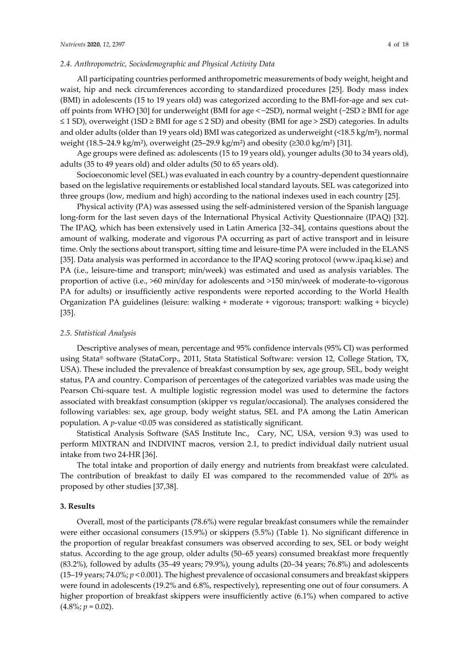## *2.4. Anthropometric, Sociodemographic and Physical Activity Data*

All participating countries performed anthropometric measurements of body weight, height and waist, hip and neck circumferences according to standardized procedures [25]. Body mass index (BMI) in adolescents (15 to 19 years old) was categorized according to the BMI-for-age and sex cutoff points from WHO [30] for underweight (BMI for age < −2SD), normal weight (−2SD ≥ BMI for age ≤ 1 SD), overweight (1SD ≥ BMI for age ≤ 2 SD) and obesity (BMI for age > 2SD) categories. In adults and older adults (older than 19 years old) BMI was categorized as underweight (<18.5 kg/m²), normal weight (18.5–24.9 kg/m²), overweight (25–29.9 kg/m²) and obesity ( $\geq 30.0$  kg/m²) [31].

Age groups were defined as: adolescents (15 to 19 years old), younger adults (30 to 34 years old), adults (35 to 49 years old) and older adults (50 to 65 years old).

Socioeconomic level (SEL) was evaluated in each country by a country-dependent questionnaire based on the legislative requirements or established local standard layouts. SEL was categorized into three groups (low, medium and high) according to the national indexes used in each country [25].

Physical activity (PA) was assessed using the self-administered version of the Spanish language long-form for the last seven days of the International Physical Activity Questionnaire (IPAQ) [32]. The IPAQ, which has been extensively used in Latin America [32–34], contains questions about the amount of walking, moderate and vigorous PA occurring as part of active transport and in leisure time. Only the sections about transport, sitting time and leisure-time PA were included in the ELANS [35]. Data analysis was performed in accordance to the IPAQ scoring protocol (www.ipaq.ki.se) and PA (i.e., leisure-time and transport; min/week) was estimated and used as analysis variables. The proportion of active (i.e., >60 min/day for adolescents and >150 min/week of moderate-to-vigorous PA for adults) or insufficiently active respondents were reported according to the World Health Organization PA guidelines (leisure: walking + moderate + vigorous; transport: walking + bicycle) [35].

# *2.5. Statistical Analysis*

Descriptive analyses of mean, percentage and 95% confidence intervals (95% CI) was performed using Stata® software (StataCorp., 2011, Stata Statistical Software: version 12, College Station, TX, USA). These included the prevalence of breakfast consumption by sex, age group, SEL, body weight status, PA and country. Comparison of percentages of the categorized variables was made using the Pearson Chi-square test. A multiple logistic regression model was used to determine the factors associated with breakfast consumption (skipper vs regular/occasional). The analyses considered the following variables: sex, age group, body weight status, SEL and PA among the Latin American population. A *p*-value <0.05 was considered as statistically significant.

Statistical Analysis Software (SAS Institute Inc., Cary, NC, USA, version 9.3) was used to perform MIXTRAN and INDIVINT macros, version 2.1, to predict individual daily nutrient usual intake from two 24-HR [36].

The total intake and proportion of daily energy and nutrients from breakfast were calculated. The contribution of breakfast to daily EI was compared to the recommended value of 20% as proposed by other studies [37,38].

# **3. Results**

Overall, most of the participants (78.6%) were regular breakfast consumers while the remainder were either occasional consumers (15.9%) or skippers (5.5%) (Table 1). No significant difference in the proportion of regular breakfast consumers was observed according to sex, SEL or body weight status. According to the age group, older adults (50–65 years) consumed breakfast more frequently (83.2%), followed by adults (35–49 years; 79.9%), young adults (20–34 years; 76.8%) and adolescents (15–19 years; 74.0%; *p* < 0.001). The highest prevalence of occasional consumers and breakfast skippers were found in adolescents (19.2% and 6.8%, respectively), representing one out of four consumers. A higher proportion of breakfast skippers were insufficiently active (6.1%) when compared to active  $(4.8\%; p = 0.02).$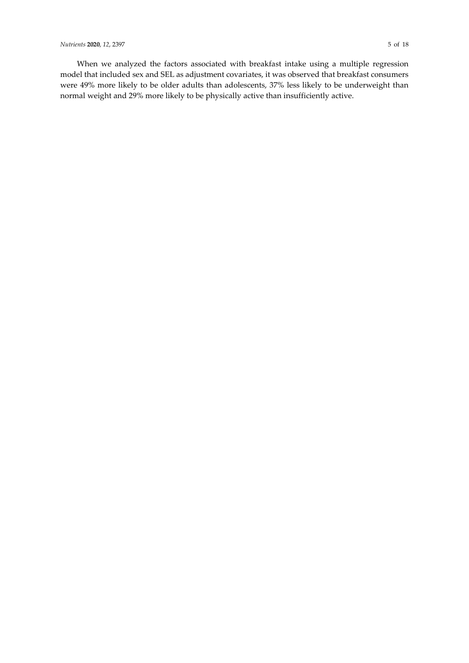When we analyzed the factors associated with breakfast intake using a multiple regression model that included sex and SEL as adjustment covariates, it was observed that breakfast consumers were 49% more likely to be older adults than adolescents, 37% less likely to be underweight than normal weight and 29% more likely to be physically active than insufficiently active.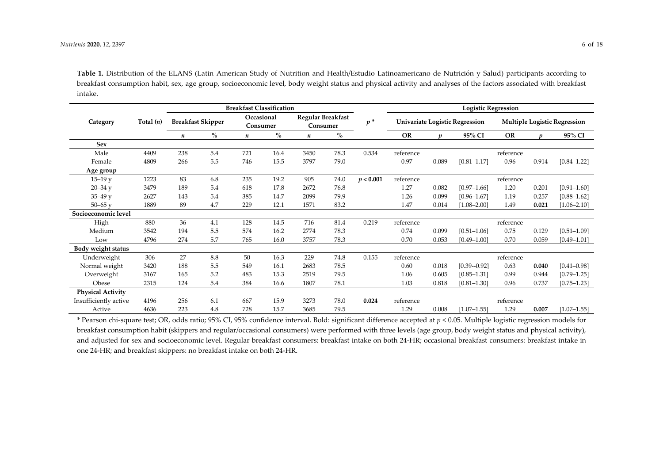Table 1. Distribution of the ELANS (Latin American Study of Nutrition and Health/Estudio Latinoamericano de Nutrición y Salud) participants according to breakfast consumption habit, sex, age group, socioeconomic level, body weight status and physical activity and analyses of the factors associated with breakfast intake.

|                          | Total $(n)$ | <b>Breakfast Classification</b> |      |                        |               |                                      |      |           | <b>Logistic Regression</b>     |                  |                 |                                     |       |                 |  |
|--------------------------|-------------|---------------------------------|------|------------------------|---------------|--------------------------------------|------|-----------|--------------------------------|------------------|-----------------|-------------------------------------|-------|-----------------|--|
| Category                 |             | <b>Breakfast Skipper</b>        |      | Occasional<br>Consumer |               | <b>Regular Breakfast</b><br>Consumer |      | $p^*$     | Univariate Logistic Regression |                  |                 | <b>Multiple Logistic Regression</b> |       |                 |  |
|                          |             | $\boldsymbol{n}$                | $\%$ | $\boldsymbol{n}$       | $\frac{0}{0}$ | n                                    | $\%$ |           | <b>OR</b>                      | $\boldsymbol{n}$ | 95% CI          | <b>OR</b>                           | n     | 95% CI          |  |
| Sex                      |             |                                 |      |                        |               |                                      |      |           |                                |                  |                 |                                     |       |                 |  |
| Male                     | 4409        | 238                             | 5.4  | 721                    | 16.4          | 3450                                 | 78.3 | 0.534     | reference                      |                  |                 | reference                           |       |                 |  |
| Female                   | 4809        | 266                             | 5.5  | 746                    | 15.5          | 3797                                 | 79.0 |           | 0.97                           | 0.089            | $[0.81 - 1.17]$ | 0.96                                | 0.914 | $[0.84 - 1.22]$ |  |
| Age group                |             |                                 |      |                        |               |                                      |      |           |                                |                  |                 |                                     |       |                 |  |
| $15 - 19y$               | 1223        | 83                              | 6.8  | 235                    | 19.2          | 905                                  | 74.0 | p < 0.001 | reference                      |                  |                 | reference                           |       |                 |  |
| $20 - 34y$               | 3479        | 189                             | 5.4  | 618                    | 17.8          | 2672                                 | 76.8 |           | 1.27                           | 0.082            | $[0.97 - 1.66]$ | 1.20                                | 0.201 | $[0.91 - 1.60]$ |  |
| $35 - 49$ v              | 2627        | 143                             | 5.4  | 385                    | 14.7          | 2099                                 | 79.9 |           | 1.26                           | 0.099            | $[0.96 - 1.67]$ | 1.19                                | 0.257 | $[0.88 - 1.62]$ |  |
| $50 - 65$ v              | 1889        | 89                              | 4.7  | 229                    | 12.1          | 1571                                 | 83.2 |           | 1.47                           | 0.014            | $[1.08 - 2.00]$ | 1.49                                | 0.021 | $[1.06 - 2.10]$ |  |
| Socioeconomic level      |             |                                 |      |                        |               |                                      |      |           |                                |                  |                 |                                     |       |                 |  |
| High                     | 880         | 36                              | 4.1  | 128                    | 14.5          | 716                                  | 81.4 | 0.219     | reference                      |                  |                 | reference                           |       |                 |  |
| Medium                   | 3542        | 194                             | 5.5  | 574                    | 16.2          | 2774                                 | 78.3 |           | 0.74                           | 0.099            | $[0.51 - 1.06]$ | 0.75                                | 0.129 | $[0.51 - 1.09]$ |  |
| Low                      | 4796        | 274                             | 5.7  | 765                    | 16.0          | 3757                                 | 78.3 |           | 0.70                           | 0.053            | $[0.49 - 1.00]$ | 0.70                                | 0.059 | $[0.49 - 1.01]$ |  |
| Body weight status       |             |                                 |      |                        |               |                                      |      |           |                                |                  |                 |                                     |       |                 |  |
| Underweight              | 306         | 27                              | 8.8  | 50                     | 16.3          | 229                                  | 74.8 | 0.155     | reference                      |                  |                 | reference                           |       |                 |  |
| Normal weight            | 3420        | 188                             | 5.5  | 549                    | 16.1          | 2683                                 | 78.5 |           | 0.60                           | 0.018            | $[0.39 - 0.92]$ | 0.63                                | 0.040 | $[0.41 - 0.98]$ |  |
| Overweight               | 3167        | 165                             | 5.2  | 483                    | 15.3          | 2519                                 | 79.5 |           | 1.06                           | 0.605            | $[0.85 - 1.31]$ | 0.99                                | 0.944 | $[0.79 - 1.25]$ |  |
| Obese                    | 2315        | 124                             | 5.4  | 384                    | 16.6          | 1807                                 | 78.1 |           | 1.03                           | 0.818            | $[0.81 - 1.30]$ | 0.96                                | 0.737 | $[0.75 - 1.23]$ |  |
| <b>Physical Activity</b> |             |                                 |      |                        |               |                                      |      |           |                                |                  |                 |                                     |       |                 |  |
| Insufficiently active    | 4196        | 256                             | 6.1  | 667                    | 15.9          | 3273                                 | 78.0 | 0.024     | reference                      |                  |                 | reference                           |       |                 |  |
| Active                   | 4636        | 223                             | 4.8  | 728                    | 15.7          | 3685                                 | 79.5 |           | 1.29                           | 0.008            | $[1.07 - 1.55]$ | 1.29                                | 0.007 | $[1.07 - 1.55]$ |  |

\* Pearson chi-square test; OR, odds ratio; 95% CI, 95% confidence interval. Bold: significant difference accepted at *p* < 0.05. Multiple logistic regression models for breakfast consumption habit (skippers and regular/occasional consumers) were performed with three levels (age group, body weight status and physical activity), and adjusted for sex and socioeconomic level. Regular breakfast consumers: breakfast intake on both 24-HR; occasional breakfast consumers: breakfast intake in one 24-HR; and breakfast skippers: no breakfast intake on both 24-HR.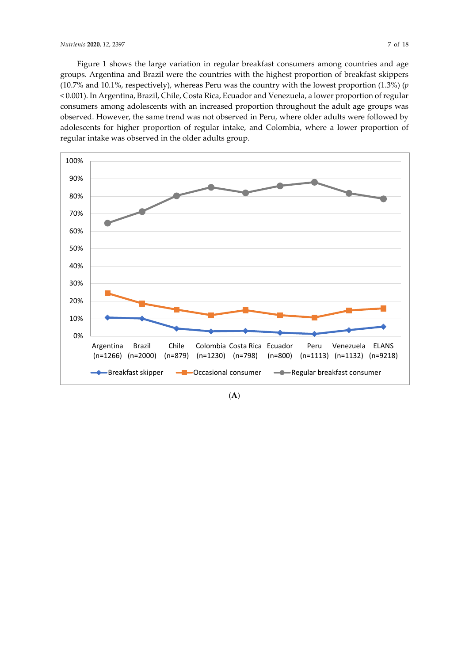Figure 1 shows the large variation in regular breakfast consumers among countries and age groups. Argentina and Brazil were the countries with the highest proportion of breakfast skippers (10.7% and 10.1%, respectively), whereas Peru was the country with the lowest proportion (1.3%) (*p* < 0.001). In Argentina, Brazil, Chile, Costa Rica, Ecuador and Venezuela, a lower proportion of regular consumers among adolescents with an increased proportion throughout the adult age groups was observed. However, the same trend was not observed in Peru, where older adults were followed by adolescents for higher proportion of regular intake, and Colombia, where a lower proportion of regular intake was observed in the older adults group.



(**A**)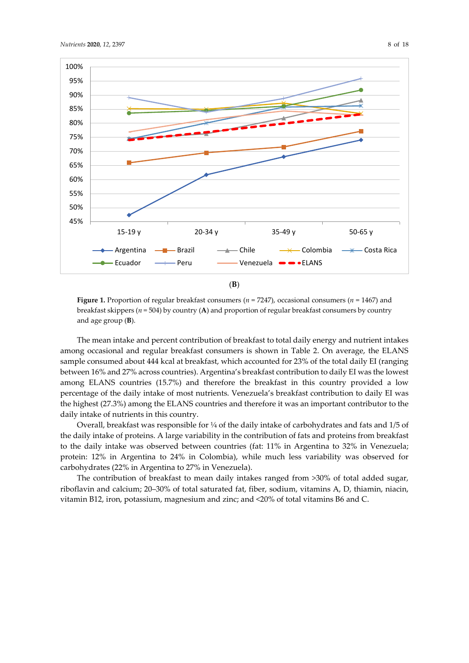

**Figure 1.** Proportion of regular breakfast consumers (*n* = 7247), occasional consumers (*n* = 1467) and breakfast skippers (*n* = 504) by country (**A**) and proportion of regular breakfast consumers by country and age group (**B**).

The mean intake and percent contribution of breakfast to total daily energy and nutrient intakes among occasional and regular breakfast consumers is shown in Table 2. On average, the ELANS sample consumed about 444 kcal at breakfast, which accounted for 23% of the total daily EI (ranging between 16% and 27% across countries). Argentina's breakfast contribution to daily EI was the lowest among ELANS countries (15.7%) and therefore the breakfast in this country provided a low percentage of the daily intake of most nutrients. Venezuela's breakfast contribution to daily EI was the highest (27.3%) among the ELANS countries and therefore it was an important contributor to the daily intake of nutrients in this country.

Overall, breakfast was responsible for  $\frac{1}{4}$  of the daily intake of carbohydrates and fats and 1/5 of the daily intake of proteins. A large variability in the contribution of fats and proteins from breakfast to the daily intake was observed between countries (fat: 11% in Argentina to 32% in Venezuela; protein: 12% in Argentina to 24% in Colombia), while much less variability was observed for carbohydrates (22% in Argentina to 27% in Venezuela).

The contribution of breakfast to mean daily intakes ranged from >30% of total added sugar, riboflavin and calcium; 20–30% of total saturated fat, fiber, sodium, vitamins A, D, thiamin, niacin, vitamin B12, iron, potassium, magnesium and zinc; and <20% of total vitamins B6 and C.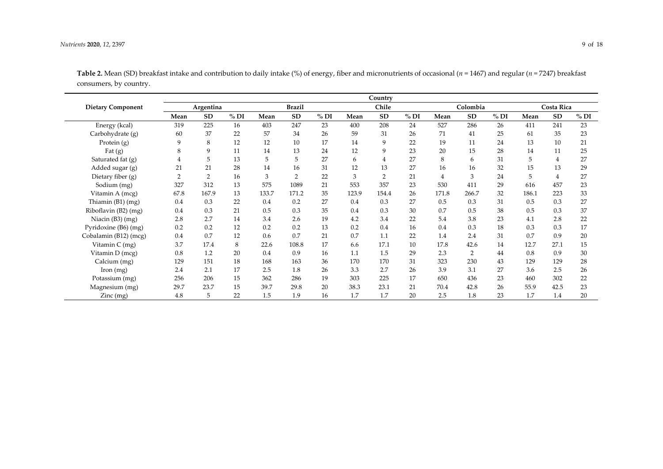|                          | Country        |           |      |               |                |      |       |                |      |          |           |      |            |           |         |
|--------------------------|----------------|-----------|------|---------------|----------------|------|-------|----------------|------|----------|-----------|------|------------|-----------|---------|
| <b>Dietary Component</b> | Argentina      |           |      | <b>Brazil</b> |                |      | Chile |                |      | Colombia |           |      | Costa Rica |           |         |
|                          | Mean           | <b>SD</b> | % DI | Mean          | <b>SD</b>      | % DI | Mean  | <b>SD</b>      | % DI | Mean     | <b>SD</b> | % DI | Mean       | <b>SD</b> | $\%$ DI |
| Energy (kcal)            | 319            | 225       | 16   | 403           | 247            | 23   | 400   | 208            | 24   | 527      | 286       | 26   | 411        | 241       | 23      |
| Carbohydrate (g)         | 60             | 37        | 22   | 57            | 34             | 26   | 59    | 31             | 26   | 71       | 41        | 25   | 61         | 35        | 23      |
| Protein (g)              | 9              | 8         | 12   | 12            | 10             | 17   | 14    | 9              | 22   | 19       | 11        | 24   | 13         | 10        | 21      |
| Fat $(g)$                | 8              | 9         | 11   | 14            | 13             | 24   | 12    | 9              | 23   | 20       | 15        | 28   | 14         | 11        | 25      |
| Saturated fat $(g)$      | 4              | 5         | 13   | 5             | 5              | 27   | 6     | $\overline{4}$ | 27   | 8        | 6         | 31   | 5          | 4         | 27      |
| Added sugar (g)          | 21             | 21        | 28   | 14            | 16             | 31   | 12    | 13             | 27   | 16       | 16        | 32   | 15         | 13        | 29      |
| Dietary fiber (g)        | $\overline{2}$ | 2         | 16   | 3             | $\overline{2}$ | 22   | 3     | $\overline{2}$ | 21   | 4        | 3         | 24   | 5          | 4         | 27      |
| Sodium (mg)              | 327            | 312       | 13   | 575           | 1089           | 21   | 553   | 357            | 23   | 530      | 411       | 29   | 616        | 457       | 23      |
| Vitamin A (mcg)          | 67.8           | 167.9     | 13   | 133.7         | 171.2          | 35   | 123.9 | 154.4          | 26   | 171.8    | 266.7     | 32   | 186.1      | 223       | 33      |
| Thiamin $(B1)$ (mg)      | 0.4            | 0.3       | 22   | 0.4           | 0.2            | 27   | 0.4   | 0.3            | 27   | 0.5      | 0.3       | 31   | 0.5        | 0.3       | 27      |
| Riboflavin (B2) (mg)     | 0.4            | 0.3       | 21   | 0.5           | 0.3            | 35   | 0.4   | 0.3            | 30   | 0.7      | 0.5       | 38   | 0.5        | 0.3       | 37      |
| Niacin (B3) (mg)         | 2.8            | 2.7       | 14   | 3.4           | 2.6            | 19   | 4.2   | 3.4            | 22   | 5.4      | 3.8       | 23   | 4.1        | 2.8       | 22      |
| Pyridoxine (B6) (mg)     | 0.2            | 0.2       | 12   | 0.2           | 0.2            | 13   | 0.2   | 0.4            | 16   | 0.4      | 0.3       | 18   | 0.3        | 0.3       | 17      |
| Cobalamin (B12) (mcg)    | 0.4            | 0.7       | 12   | 0.6           | 0.7            | 21   | 0.7   | 1.1            | 22   | 1.4      | 2.4       | 31   | 0.7        | 0.9       | 20      |
| Vitamin C (mg)           | 3.7            | 17.4      | 8    | 22.6          | 108.8          | 17   | 6.6   | 17.1           | 10   | 17.8     | 42.6      | 14   | 12.7       | 27.1      | 15      |
| Vitamin D (mcg)          | 0.8            | 1.2       | 20   | 0.4           | 0.9            | 16   | 1.1   | 1.5            | 29   | 2.3      | 2         | 44   | 0.8        | 0.9       | 30      |
| Calcium (mg)             | 129            | 151       | 18   | 168           | 163            | 36   | 170   | 170            | 31   | 323      | 230       | 43   | 129        | 129       | 28      |
| Iron (mg)                | 2.4            | 2.1       | 17   | 2.5           | 1.8            | 26   | 3.3   | 2.7            | 26   | 3.9      | 3.1       | 27   | 3.6        | 2.5       | 26      |
| Potassium (mg)           | 256            | 206       | 15   | 362           | 286            | 19   | 303   | 225            | 17   | 650      | 436       | 23   | 460        | 302       | 22      |
| Magnesium (mg)           | 29.7           | 23.7      | 15   | 39.7          | 29.8           | 20   | 38.3  | 23.1           | 21   | 70.4     | 42.8      | 26   | 55.9       | 42.5      | 23      |
| Zinc (mg)                | 4.8            | 5         | 22   | 1.5           | 1.9            | 16   | 1.7   | 1.7            | 20   | 2.5      | 1.8       | 23   | 1.7        | 1.4       | 20      |

**Table 2.** Mean (SD) breakfast intake and contribution to daily intake (%) of energy, fiber and micronutrients of occasional ( $n = 1467$ ) and regular ( $n = 7247$ ) breakfast consumers, by country.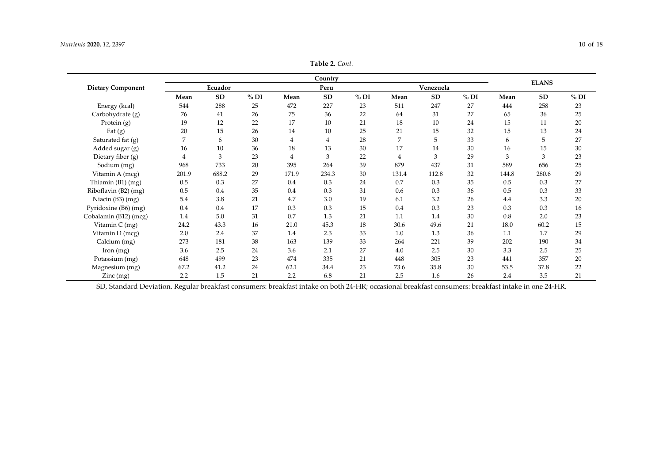| Nutrients <b>2020</b> , 12, 2397 | 10 of 18 |
|----------------------------------|----------|
|                                  |          |
|                                  |          |

| Table 2. Cont. |  |  |
|----------------|--|--|
|----------------|--|--|

|                          |                |       |      |                | Country   |      |       |           |      |       | <b>ELANS</b> |      |  |
|--------------------------|----------------|-------|------|----------------|-----------|------|-------|-----------|------|-------|--------------|------|--|
| <b>Dietary Component</b> | Ecuador        |       |      |                | Peru      |      |       | Venezuela |      |       |              |      |  |
|                          | Mean           | SD    | % DI | Mean           | <b>SD</b> | % DI | Mean  | SD        | % DI | Mean  | <b>SD</b>    | % DI |  |
| Energy (kcal)            | 544            | 288   | 25   | 472            | 227       | 23   | 511   | 247       | 27   | 444   | 258          | 23   |  |
| Carbohydrate (g)         | 76             | 41    | 26   | 75             | 36        | 22   | 64    | 31        | 27   | 65    | 36           | 25   |  |
| Protein (g)              | 19             | 12    | 22   | 17             | 10        | 21   | 18    | 10        | 24   | 15    | 11           | 20   |  |
| Fat $(g)$                | 20             | 15    | 26   | 14             | 10        | 25   | 21    | 15        | 32   | 15    | 13           | 24   |  |
| Saturated fat (g)        | 7              | 6     | 30   | $\overline{4}$ | 4         | 28   | 7     | 5         | 33   | 6     | 5            | 27   |  |
| Added sugar (g)          | 16             | 10    | 36   | 18             | 13        | 30   | 17    | 14        | 30   | 16    | 15           | 30   |  |
| Dietary fiber $(g)$      | $\overline{4}$ | 3     | 23   | $\overline{4}$ | 3         | 22   | 4     | 3         | 29   | 3     | 3            | 23   |  |
| Sodium (mg)              | 968            | 733   | 20   | 395            | 264       | 39   | 879   | 437       | 31   | 589   | 656          | 25   |  |
| Vitamin A (mcg)          | 201.9          | 688.2 | 29   | 171.9          | 234.3     | 30   | 131.4 | 112.8     | 32   | 144.8 | 280.6        | 29   |  |
| Thiamin $(B1)$ (mg)      | 0.5            | 0.3   | 27   | 0.4            | 0.3       | 24   | 0.7   | 0.3       | 35   | 0.5   | 0.3          | 27   |  |
| Riboflavin (B2) (mg)     | 0.5            | 0.4   | 35   | 0.4            | 0.3       | 31   | 0.6   | 0.3       | 36   | 0.5   | 0.3          | 33   |  |
| Niacin (B3) (mg)         | 5.4            | 3.8   | 21   | 4.7            | 3.0       | 19   | 6.1   | 3.2       | 26   | 4.4   | 3.3          | 20   |  |
| Pyridoxine (B6) (mg)     | 0.4            | 0.4   | 17   | 0.3            | 0.3       | 15   | 0.4   | 0.3       | 23   | 0.3   | 0.3          | 16   |  |
| Cobalamin (B12) (mcg)    | 1.4            | 5.0   | 31   | 0.7            | 1.3       | 21   | 1.1   | 1.4       | 30   | 0.8   | 2.0          | 23   |  |
| Vitamin C (mg)           | 24.2           | 43.3  | 16   | 21.0           | 45.3      | 18   | 30.6  | 49.6      | 21   | 18.0  | 60.2         | 15   |  |
| Vitamin D (mcg)          | 2.0            | 2.4   | 37   | 1.4            | 2.3       | 33   | 1.0   | 1.3       | 36   | 1.1   | 1.7          | 29   |  |
| Calcium (mg)             | 273            | 181   | 38   | 163            | 139       | 33   | 264   | 221       | 39   | 202   | 190          | 34   |  |
| [from (mg)]              | 3.6            | 2.5   | 24   | 3.6            | 2.1       | 27   | 4.0   | 2.5       | 30   | 3.3   | 2.5          | 25   |  |
| Potassium (mg)           | 648            | 499   | 23   | 474            | 335       | 21   | 448   | 305       | 23   | 441   | 357          | 20   |  |
| Magnesium (mg)           | 67.2           | 41.2  | 24   | 62.1           | 34.4      | 23   | 73.6  | 35.8      | 30   | 53.5  | 37.8         | 22   |  |
| $\text{Zinc}$ (mg)       | 2.2            | 1.5   | 21   | 2.2            | 6.8       | 21   | 2.5   | 1.6       | 26   | 2.4   | 3.5          | 21   |  |

SD, Standard Deviation. Regular breakfast consumers: breakfast intake on both 24-HR; occasional breakfast consumers: breakfast intake in one 24-HR.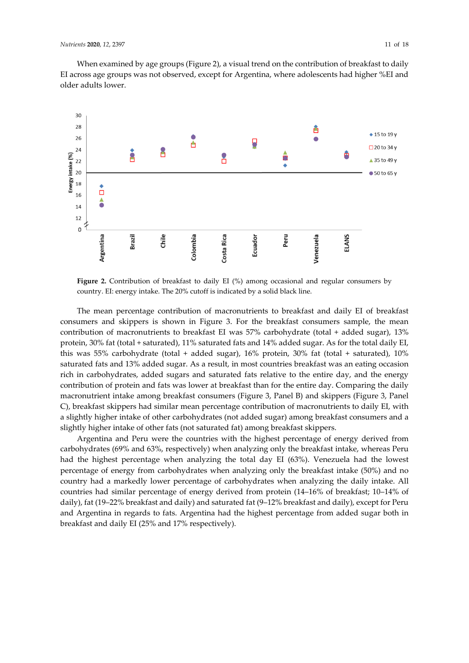When examined by age groups (Figure 2), a visual trend on the contribution of breakfast to daily EI across age groups was not observed, except for Argentina, where adolescents had higher %EI and older adults lower.



**Figure 2.** Contribution of breakfast to daily EI (%) among occasional and regular consumers by country. EI: energy intake. The 20% cutoff is indicated by a solid black line.

The mean percentage contribution of macronutrients to breakfast and daily EI of breakfast consumers and skippers is shown in Figure 3. For the breakfast consumers sample, the mean contribution of macronutrients to breakfast EI was 57% carbohydrate (total + added sugar), 13% protein, 30% fat (total + saturated), 11% saturated fats and 14% added sugar. As for the total daily EI, this was 55% carbohydrate (total + added sugar), 16% protein, 30% fat (total + saturated), 10% saturated fats and 13% added sugar. As a result, in most countries breakfast was an eating occasion rich in carbohydrates, added sugars and saturated fats relative to the entire day, and the energy contribution of protein and fats was lower at breakfast than for the entire day. Comparing the daily macronutrient intake among breakfast consumers (Figure 3, Panel B) and skippers (Figure 3, Panel C), breakfast skippers had similar mean percentage contribution of macronutrients to daily EI, with a slightly higher intake of other carbohydrates (not added sugar) among breakfast consumers and a slightly higher intake of other fats (not saturated fat) among breakfast skippers.

Argentina and Peru were the countries with the highest percentage of energy derived from carbohydrates (69% and 63%, respectively) when analyzing only the breakfast intake, whereas Peru had the highest percentage when analyzing the total day EI (63%). Venezuela had the lowest percentage of energy from carbohydrates when analyzing only the breakfast intake (50%) and no country had a markedly lower percentage of carbohydrates when analyzing the daily intake. All countries had similar percentage of energy derived from protein (14–16% of breakfast; 10–14% of daily), fat (19–22% breakfast and daily) and saturated fat (9–12% breakfast and daily), except for Peru and Argentina in regards to fats. Argentina had the highest percentage from added sugar both in breakfast and daily EI (25% and 17% respectively).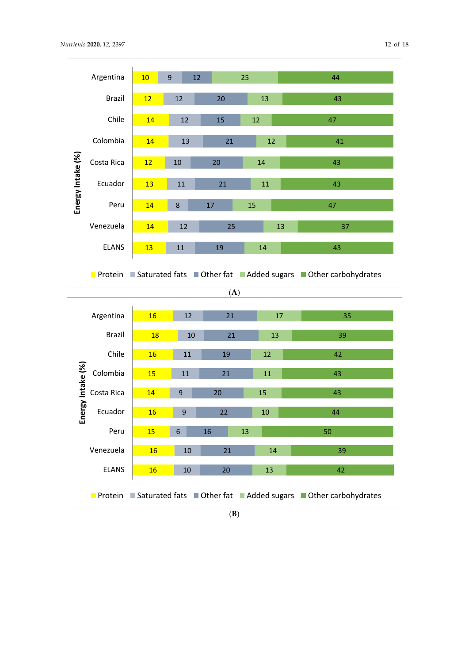

(**B**)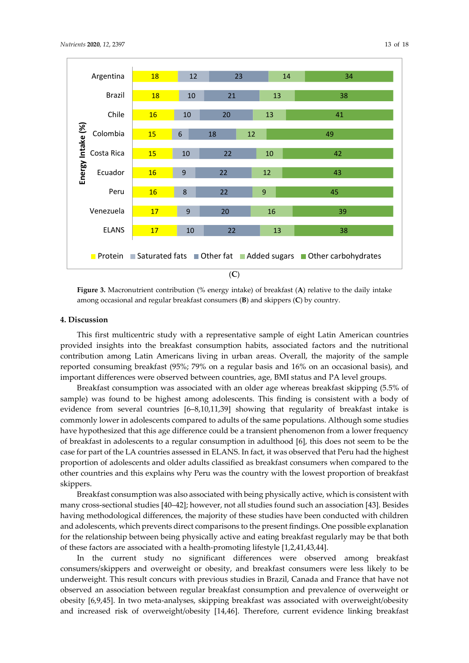

**Figure 3.** Macronutrient contribution (% energy intake) of breakfast (**A**) relative to the daily intake among occasional and regular breakfast consumers (**B**) and skippers (**C**) by country.

# **4. Discussion**

This first multicentric study with a representative sample of eight Latin American countries provided insights into the breakfast consumption habits, associated factors and the nutritional contribution among Latin Americans living in urban areas. Overall, the majority of the sample reported consuming breakfast (95%; 79% on a regular basis and 16% on an occasional basis), and important differences were observed between countries, age, BMI status and PA level groups.

Breakfast consumption was associated with an older age whereas breakfast skipping (5.5% of sample) was found to be highest among adolescents. This finding is consistent with a body of evidence from several countries [6–8,10,11,39] showing that regularity of breakfast intake is commonly lower in adolescents compared to adults of the same populations. Although some studies have hypothesized that this age difference could be a transient phenomenon from a lower frequency of breakfast in adolescents to a regular consumption in adulthood [6], this does not seem to be the case for part of the LA countries assessed in ELANS. In fact, it was observed that Peru had the highest proportion of adolescents and older adults classified as breakfast consumers when compared to the other countries and this explains why Peru was the country with the lowest proportion of breakfast skippers.

Breakfast consumption was also associated with being physically active, which is consistent with many cross-sectional studies [40–42]; however, not all studies found such an association [43]. Besides having methodological differences, the majority of these studies have been conducted with children and adolescents, which prevents direct comparisons to the present findings. One possible explanation for the relationship between being physically active and eating breakfast regularly may be that both of these factors are associated with a health-promoting lifestyle [1,2,41,43,44].

In the current study no significant differences were observed among breakfast consumers/skippers and overweight or obesity, and breakfast consumers were less likely to be underweight. This result concurs with previous studies in Brazil, Canada and France that have not observed an association between regular breakfast consumption and prevalence of overweight or obesity [6,9,45]. In two meta-analyses, skipping breakfast was associated with overweight/obesity and increased risk of overweight/obesity [14,46]. Therefore, current evidence linking breakfast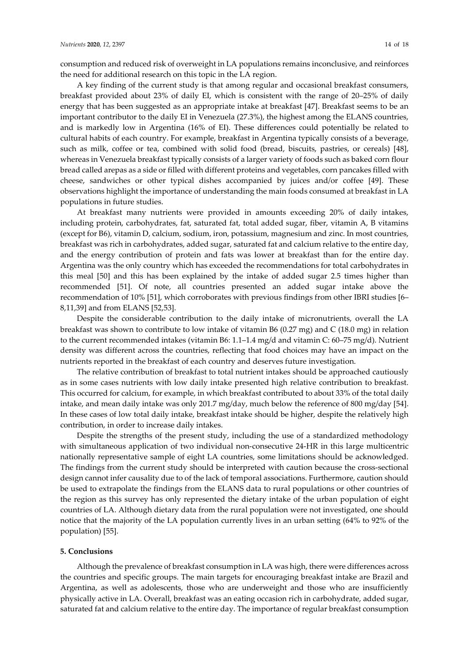consumption and reduced risk of overweight in LA populations remains inconclusive, and reinforces the need for additional research on this topic in the LA region.

A key finding of the current study is that among regular and occasional breakfast consumers, breakfast provided about 23% of daily EI, which is consistent with the range of 20–25% of daily energy that has been suggested as an appropriate intake at breakfast [47]. Breakfast seems to be an important contributor to the daily EI in Venezuela (27.3%), the highest among the ELANS countries, and is markedly low in Argentina (16% of EI). These differences could potentially be related to cultural habits of each country. For example, breakfast in Argentina typically consists of a beverage, such as milk, coffee or tea, combined with solid food (bread, biscuits, pastries, or cereals) [48], whereas in Venezuela breakfast typically consists of a larger variety of foods such as baked corn flour bread called arepas as a side or filled with different proteins and vegetables, corn pancakes filled with cheese, sandwiches or other typical dishes accompanied by juices and/or coffee [49]. These observations highlight the importance of understanding the main foods consumed at breakfast in LA populations in future studies.

At breakfast many nutrients were provided in amounts exceeding 20% of daily intakes, including protein, carbohydrates, fat, saturated fat, total added sugar, fiber, vitamin A, B vitamins (except for B6), vitamin D, calcium, sodium, iron, potassium, magnesium and zinc. In most countries, breakfast was rich in carbohydrates, added sugar, saturated fat and calcium relative to the entire day, and the energy contribution of protein and fats was lower at breakfast than for the entire day. Argentina was the only country which has exceeded the recommendations for total carbohydrates in this meal [50] and this has been explained by the intake of added sugar 2.5 times higher than recommended [51]. Of note, all countries presented an added sugar intake above the recommendation of 10% [51], which corroborates with previous findings from other IBRI studies [6– 8,11,39] and from ELANS [52,53].

Despite the considerable contribution to the daily intake of micronutrients, overall the LA breakfast was shown to contribute to low intake of vitamin B6  $(0.27 \text{ mg})$  and C  $(18.0 \text{ mg})$  in relation to the current recommended intakes (vitamin B6: 1.1–1.4 mg/d and vitamin C: 60–75 mg/d). Nutrient density was different across the countries, reflecting that food choices may have an impact on the nutrients reported in the breakfast of each country and deserves future investigation.

The relative contribution of breakfast to total nutrient intakes should be approached cautiously as in some cases nutrients with low daily intake presented high relative contribution to breakfast. This occurred for calcium, for example, in which breakfast contributed to about 33% of the total daily intake, and mean daily intake was only 201.7 mg/day, much below the reference of 800 mg/day [54]. In these cases of low total daily intake, breakfast intake should be higher, despite the relatively high contribution, in order to increase daily intakes.

Despite the strengths of the present study, including the use of a standardized methodology with simultaneous application of two individual non-consecutive 24-HR in this large multicentric nationally representative sample of eight LA countries, some limitations should be acknowledged. The findings from the current study should be interpreted with caution because the cross-sectional design cannot infer causality due to of the lack of temporal associations. Furthermore, caution should be used to extrapolate the findings from the ELANS data to rural populations or other countries of the region as this survey has only represented the dietary intake of the urban population of eight countries of LA. Although dietary data from the rural population were not investigated, one should notice that the majority of the LA population currently lives in an urban setting (64% to 92% of the population) [55].

### **5. Conclusions**

Although the prevalence of breakfast consumption in LA was high, there were differences across the countries and specific groups. The main targets for encouraging breakfast intake are Brazil and Argentina, as well as adolescents, those who are underweight and those who are insufficiently physically active in LA. Overall, breakfast was an eating occasion rich in carbohydrate, added sugar, saturated fat and calcium relative to the entire day. The importance of regular breakfast consumption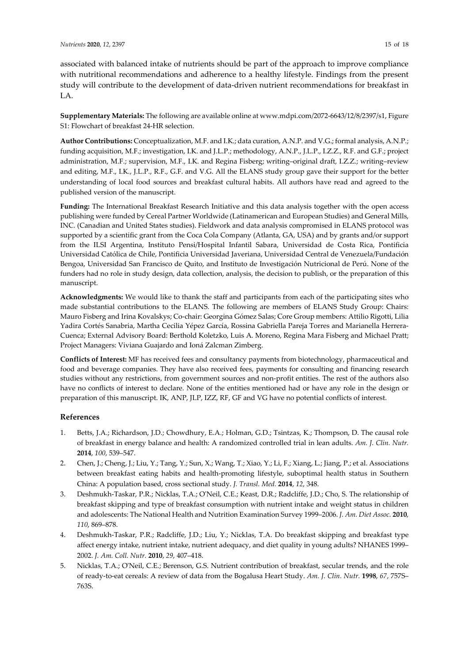associated with balanced intake of nutrients should be part of the approach to improve compliance with nutritional recommendations and adherence to a healthy lifestyle. Findings from the present study will contribute to the development of data-driven nutrient recommendations for breakfast in  $L.A.$ 

**Supplementary Materials:** The following are available online at www.mdpi.com/2072-6643/12/8/2397/s1, Figure S1: Flowchart of breakfast 24-HR selection.

**Author Contributions:** Conceptualization, M.F. and I.K.; data curation, A.N.P. and V.G.; formal analysis, A.N.P.; funding acquisition, M.F.; investigation, I.K. and J.L.P.; methodology, A.N.P., J.L.P., I.Z.Z., R.F. and G.F.; project administration, M.F.; supervision, M.F., I.K. and Regina Fisberg; writing–original draft, I.Z.Z.; writing–review and editing, M.F., I.K., J.L.P., R.F., G.F. and V.G. All the ELANS study group gave their support for the better understanding of local food sources and breakfast cultural habits. All authors have read and agreed to the published version of the manuscript.

**Funding:** The International Breakfast Research Initiative and this data analysis together with the open access publishing were funded by Cereal Partner Worldwide (Latinamerican and European Studies) and General Mills, INC. (Canadian and United States studies). Fieldwork and data analysis compromised in ELANS protocol was supported by a scientific grant from the Coca Cola Company (Atlanta, GA, USA) and by grants and/or support from the ILSI Argentina, Instituto Pensi/Hospital Infantil Sabara, Universidad de Costa Rica, Pontificia Universidad Católica de Chile, Pontificia Universidad Javeriana, Universidad Central de Venezuela/Fundación Bengoa, Universidad San Francisco de Quito, and Instituto de Investigación Nutricional de Perú. None of the funders had no role in study design, data collection, analysis, the decision to publish, or the preparation of this manuscript.

**Acknowledgments:** We would like to thank the staff and participants from each of the participating sites who made substantial contributions to the ELANS. The following are members of ELANS Study Group: Chairs: Mauro Fisberg and Irina Kovalskys; Co-chair: Georgina Gómez Salas; Core Group members: Attilio Rigotti, Lilia Yadira Cortés Sanabria, Martha Cecilia Yépez García, Rossina Gabriella Pareja Torres and Marianella Herrera-Cuenca; External Advisory Board: Berthold Koletzko, Luis A. Moreno, Regina Mara Fisberg and Michael Pratt; Project Managers: Viviana Guajardo and Ioná Zalcman Zimberg.

**Conflicts of Interest:** MF has received fees and consultancy payments from biotechnology, pharmaceutical and food and beverage companies. They have also received fees, payments for consulting and financing research studies without any restrictions, from government sources and non-profit entities. The rest of the authors also have no conflicts of interest to declare. None of the entities mentioned had or have any role in the design or preparation of this manuscript. IK, ANP, JLP, IZZ, RF, GF and VG have no potential conflicts of interest.

# **References**

- 1. Betts, J.A.; Richardson, J.D.; Chowdhury, E.A.; Holman, G.D.; Tsintzas, K.; Thompson, D. The causal role of breakfast in energy balance and health: A randomized controlled trial in lean adults. *Am. J. Clin. Nutr.*  **2014**, *100*, 539–547.
- 2. Chen, J.; Cheng, J.; Liu, Y.; Tang, Y.; Sun, X.; Wang, T.; Xiao, Y.; Li, F.; Xiang, L.; Jiang, P.; et al. Associations between breakfast eating habits and health-promoting lifestyle, suboptimal health status in Southern China: A population based, cross sectional study. *J. Transl. Med.* **2014**, *12*, 348.
- 3. Deshmukh-Taskar, P.R.; Nicklas, T.A.; O'Neil, C.E.; Keast, D.R.; Radcliffe, J.D.; Cho, S. The relationship of breakfast skipping and type of breakfast consumption with nutrient intake and weight status in children and adolescents: The National Health and Nutrition Examination Survey 1999–2006. *J. Am. Diet Assoc.* **2010**, *110*, 869–878.
- 4. Deshmukh-Taskar, P.R.; Radcliffe, J.D.; Liu, Y.; Nicklas, T.A. Do breakfast skipping and breakfast type affect energy intake, nutrient intake, nutrient adequacy, and diet quality in young adults? NHANES 1999– 2002. *J. Am. Coll. Nutr.* **2010**, *29*, 407–418.
- 5. Nicklas, T.A.; O'Neil, C.E.; Berenson, G.S. Nutrient contribution of breakfast, secular trends, and the role of ready-to-eat cereals: A review of data from the Bogalusa Heart Study. *Am. J. Clin. Nutr.* **1998**, *67*, 757S– 763S.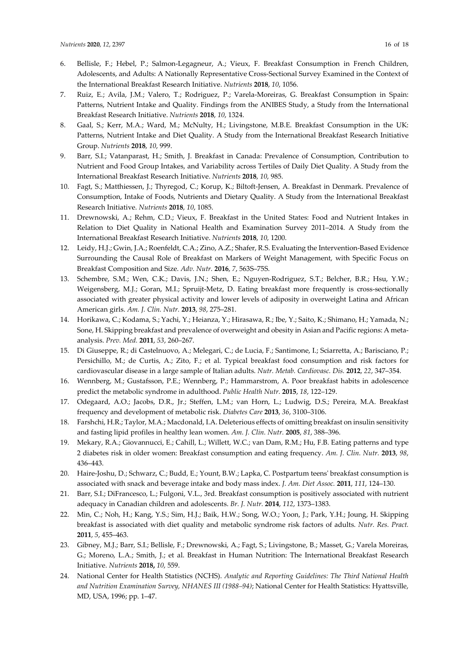- 6. Bellisle, F.; Hebel, P.; Salmon-Legagneur, A.; Vieux, F. Breakfast Consumption in French Children, Adolescents, and Adults: A Nationally Representative Cross-Sectional Survey Examined in the Context of the International Breakfast Research Initiative. *Nutrients* **2018**, *10*, 1056.
- 7. Ruiz, E.; Avila, J.M.; Valero, T.; Rodriguez, P.; Varela-Moreiras, G. Breakfast Consumption in Spain: Patterns, Nutrient Intake and Quality. Findings from the ANIBES Study, a Study from the International Breakfast Research Initiative. *Nutrients* **2018**, *10*, 1324.
- 8. Gaal, S.; Kerr, M.A.; Ward, M.; McNulty, H.; Livingstone, M.B.E. Breakfast Consumption in the UK: Patterns, Nutrient Intake and Diet Quality. A Study from the International Breakfast Research Initiative Group. *Nutrients* **2018**, *10*, 999.
- 9. Barr, S.I.; Vatanparast, H.; Smith, J. Breakfast in Canada: Prevalence of Consumption, Contribution to Nutrient and Food Group Intakes, and Variability across Tertiles of Daily Diet Quality. A Study from the International Breakfast Research Initiative. *Nutrients* **2018**, *10*, 985.
- 10. Fagt, S.; Matthiessen, J.; Thyregod, C.; Korup, K.; Biltoft-Jensen, A. Breakfast in Denmark. Prevalence of Consumption, Intake of Foods, Nutrients and Dietary Quality. A Study from the International Breakfast Research Initiative. *Nutrients* **2018**, *10*, 1085.
- 11. Drewnowski, A.; Rehm, C.D.; Vieux, F. Breakfast in the United States: Food and Nutrient Intakes in Relation to Diet Quality in National Health and Examination Survey 2011–2014. A Study from the International Breakfast Research Initiative. *Nutrients* **2018**, *10*, 1200.
- 12. Leidy, H.J.; Gwin, J.A.; Roenfeldt, C.A.; Zino, A.Z.; Shafer, R.S. Evaluating the Intervention-Based Evidence Surrounding the Causal Role of Breakfast on Markers of Weight Management, with Specific Focus on Breakfast Composition and Size. *Adv. Nutr.* **2016**, *7*, 563S–75S.
- 13. Schembre, S.M.; Wen, C.K.; Davis, J.N.; Shen, E.; Nguyen-Rodriguez, S.T.; Belcher, B.R.; Hsu, Y.W.; Weigensberg, M.J.; Goran, M.I.; Spruijt-Metz, D. Eating breakfast more frequently is cross-sectionally associated with greater physical activity and lower levels of adiposity in overweight Latina and African American girls. *Am. J. Clin. Nutr.* **2013**, *98*, 275–281.
- 14. Horikawa, C.; Kodama, S.; Yachi, Y.; Heianza, Y.; Hirasawa, R.; Ibe, Y.; Saito, K.; Shimano, H.; Yamada, N.; Sone, H. Skipping breakfast and prevalence of overweight and obesity in Asian and Pacific regions: A metaanalysis. *Prev. Med.* **2011**, *53*, 260–267.
- 15. Di Giuseppe, R.; di Castelnuovo, A.; Melegari, C.; de Lucia, F.; Santimone, I.; Sciarretta, A.; Barisciano, P.; Persichillo, M.; de Curtis, A.; Zito, F.; et al. Typical breakfast food consumption and risk factors for cardiovascular disease in a large sample of Italian adults. *Nutr. Metab. Cardiovasc. Dis.* **2012**, *22*, 347–354.
- 16. Wennberg, M.; Gustafsson, P.E.; Wennberg, P.; Hammarstrom, A. Poor breakfast habits in adolescence predict the metabolic syndrome in adulthood. *Public Health Nutr.* **2015**, *18*, 122–129.
- 17. Odegaard, A.O.; Jacobs, D.R., Jr.; Steffen, L.M.; van Horn, L.; Ludwig, D.S.; Pereira, M.A. Breakfast frequency and development of metabolic risk. *Diabetes Care* **2013**, *36*, 3100–3106.
- 18. Farshchi, H.R.; Taylor, M.A.; Macdonald, I.A. Deleterious effects of omitting breakfast on insulin sensitivity and fasting lipid profiles in healthy lean women. *Am. J. Clin. Nutr.* **2005**, *81*, 388–396.
- 19. Mekary, R.A.; Giovannucci, E.; Cahill, L.; Willett, W.C.; van Dam, R.M.; Hu, F.B. Eating patterns and type 2 diabetes risk in older women: Breakfast consumption and eating frequency. *Am. J. Clin. Nutr.* **2013**, *98*, 436–443.
- 20. Haire-Joshu, D.; Schwarz, C.; Budd, E.; Yount, B.W.; Lapka, C. Postpartum teens' breakfast consumption is associated with snack and beverage intake and body mass index. *J. Am. Diet Assoc.* **2011**, *111*, 124–130.
- 21. Barr, S.I.; DiFrancesco, L.; Fulgoni, V.L., 3rd. Breakfast consumption is positively associated with nutrient adequacy in Canadian children and adolescents. *Br. J. Nutr.* **2014**, *112*, 1373–1383.
- 22. Min, C.; Noh, H.; Kang, Y.S.; Sim, H.J.; Baik, H.W.; Song, W.O.; Yoon, J.; Park, Y.H.; Joung, H. Skipping breakfast is associated with diet quality and metabolic syndrome risk factors of adults. *Nutr. Res. Pract.*  **2011**, *5*, 455–463.
- 23. Gibney, M.J.; Barr, S.I.; Bellisle, F.; Drewnowski, A.; Fagt, S.; Livingstone, B.; Masset, G.; Varela Moreiras, G.; Moreno, L.A.; Smith, J.; et al. Breakfast in Human Nutrition: The International Breakfast Research Initiative. *Nutrients* **2018,** *10*, 559.
- 24. National Center for Health Statistics (NCHS). *Analytic and Reporting Guidelines: The Third National Health and Nutrition Examination Survey, NHANES III (1988–94)*; National Center for Health Statistics: Hyattsville, MD, USA, 1996; pp. 1–47.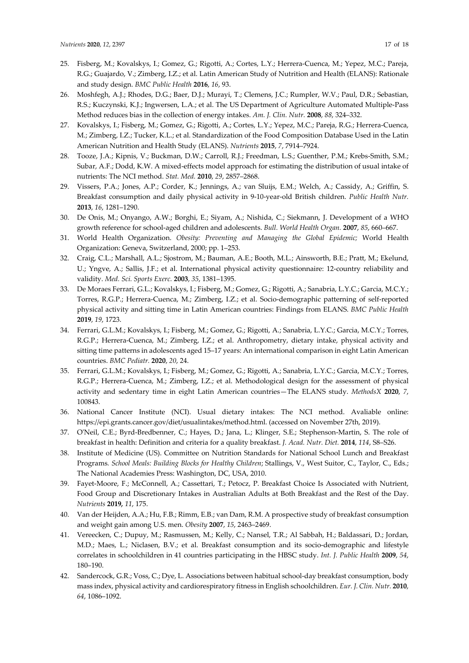- 25. Fisberg, M.; Kovalskys, I.; Gomez, G.; Rigotti, A.; Cortes, L.Y.; Herrera-Cuenca, M.; Yepez, M.C.; Pareja, R.G.; Guajardo, V.; Zimberg, I.Z.; et al. Latin American Study of Nutrition and Health (ELANS): Rationale and study design. *BMC Public Health* **2016**, *16*, 93.
- 26. Moshfegh, A.J.; Rhodes, D.G.; Baer, D.J.; Murayi, T.; Clemens, J.C.; Rumpler, W.V.; Paul, D.R.; Sebastian, R.S.; Kuczynski, K.J.; Ingwersen, L.A.; et al. The US Department of Agriculture Automated Multiple-Pass Method reduces bias in the collection of energy intakes. *Am. J. Clin. Nutr.* **2008**, *88*, 324–332.
- 27. Kovalskys, I.; Fisberg, M.; Gomez, G.; Rigotti, A.; Cortes, L.Y.; Yepez, M.C.; Pareja, R.G.; Herrera-Cuenca, M.; Zimberg, I.Z.; Tucker, K.L.; et al. Standardization of the Food Composition Database Used in the Latin American Nutrition and Health Study (ELANS). *Nutrients* **2015**, *7*, 7914–7924.
- 28. Tooze, J.A.; Kipnis, V.; Buckman, D.W.; Carroll, R.J.; Freedman, L.S.; Guenther, P.M.; Krebs-Smith, S.M.; Subar, A.F.; Dodd, K.W. A mixed-effects model approach for estimating the distribution of usual intake of nutrients: The NCI method. *Stat. Med.* **2010**, *29*, 2857–2868.
- 29. Vissers, P.A.; Jones, A.P.; Corder, K.; Jennings, A.; van Sluijs, E.M.; Welch, A.; Cassidy, A.; Griffin, S. Breakfast consumption and daily physical activity in 9-10-year-old British children. *Public Health Nutr.*  **2013**, *16*, 1281–1290.
- 30. De Onis, M.; Onyango, A.W.; Borghi, E.; Siyam, A.; Nishida, C.; Siekmann, J. Development of a WHO growth reference for school-aged children and adolescents. *Bull. World Health Organ.* **2007**, *85*, 660–667.
- 31. World Health Organization. *Obesity: Preventing and Managing the Global Epidemic;* World Health Organization: Geneva, Switzerland, 2000; pp. 1–253.
- 32. Craig, C.L.; Marshall, A.L.; Sjostrom, M.; Bauman, A.E.; Booth, M.L.; Ainsworth, B.E.; Pratt, M.; Ekelund, U.; Yngve, A.; Sallis, J.F.; et al. International physical activity questionnaire: 12-country reliability and validity. *Med. Sci. Sports Exerc.* **2003**, *35*, 1381–1395.
- 33. De Moraes Ferrari, G.L.; Kovalskys, I.; Fisberg, M.; Gomez, G.; Rigotti, A.; Sanabria, L.Y.C.; Garcia, M.C.Y.; Torres, R.G.P.; Herrera-Cuenca, M.; Zimberg, I.Z.; et al. Socio-demographic patterning of self-reported physical activity and sitting time in Latin American countries: Findings from ELANS. *BMC Public Health*  **2019**, *19*, 1723.
- 34. Ferrari, G.L.M.; Kovalskys, I.; Fisberg, M.; Gomez, G.; Rigotti, A.; Sanabria, L.Y.C.; Garcia, M.C.Y.; Torres, R.G.P.; Herrera-Cuenca, M.; Zimberg, I.Z.; et al. Anthropometry, dietary intake, physical activity and sitting time patterns in adolescents aged 15–17 years: An international comparison in eight Latin American countries. *BMC Pediatr.* **2020**, *20*, 24.
- 35. Ferrari, G.L.M.; Kovalskys, I.; Fisberg, M.; Gomez, G.; Rigotti, A.; Sanabria, L.Y.C.; Garcia, M.C.Y.; Torres, R.G.P.; Herrera-Cuenca, M.; Zimberg, I.Z.; et al. Methodological design for the assessment of physical activity and sedentary time in eight Latin American countries—The ELANS study. *MethodsX* **2020**, *7*, 100843.
- 36. National Cancer Institute (NCI). Usual dietary intakes: The NCI method. Avaliable online: https://epi.grants.cancer.gov/diet/usualintakes/method.html. (accessed on November 27th, 2019).
- 37. O'Neil, C.E.; Byrd-Bredbenner, C.; Hayes, D.; Jana, L.; Klinger, S.E.; Stephenson-Martin, S. The role of breakfast in health: Definition and criteria for a quality breakfast. *J. Acad. Nutr. Diet.* **2014**, *114*, S8–S26.
- 38. Institute of Medicine (US). Committee on Nutrition Standards for National School Lunch and Breakfast Programs*. School Meals: Building Blocks for Healthy Children*; Stallings, V., West Suitor, C., Taylor, C., Eds.; The National Academies Press: Washington, DC, USA, 2010.
- 39. Fayet-Moore, F.; McConnell, A.; Cassettari, T.; Petocz, P. Breakfast Choice Is Associated with Nutrient, Food Group and Discretionary Intakes in Australian Adults at Both Breakfast and the Rest of the Day. *Nutrients* **2019***, 11*, 175.
- 40. Van der Heijden, A.A.; Hu, F.B.; Rimm, E.B.; van Dam, R.M. A prospective study of breakfast consumption and weight gain among U.S. men. *Obesity* **2007**, *15*, 2463–2469.
- 41. Vereecken, C.; Dupuy, M.; Rasmussen, M.; Kelly, C.; Nansel, T.R.; Al Sabbah, H.; Baldassari, D.; Jordan, M.D.; Maes, L.; Niclasen, B.V.; et al. Breakfast consumption and its socio-demographic and lifestyle correlates in schoolchildren in 41 countries participating in the HBSC study. *Int. J. Public Health* **2009**, *54*, 180–190.
- 42. Sandercock, G.R.; Voss, C.; Dye, L. Associations between habitual school-day breakfast consumption, body mass index, physical activity and cardiorespiratory fitness in English schoolchildren. *Eur. J. Clin. Nutr.* **2010**, *64*, 1086–1092.